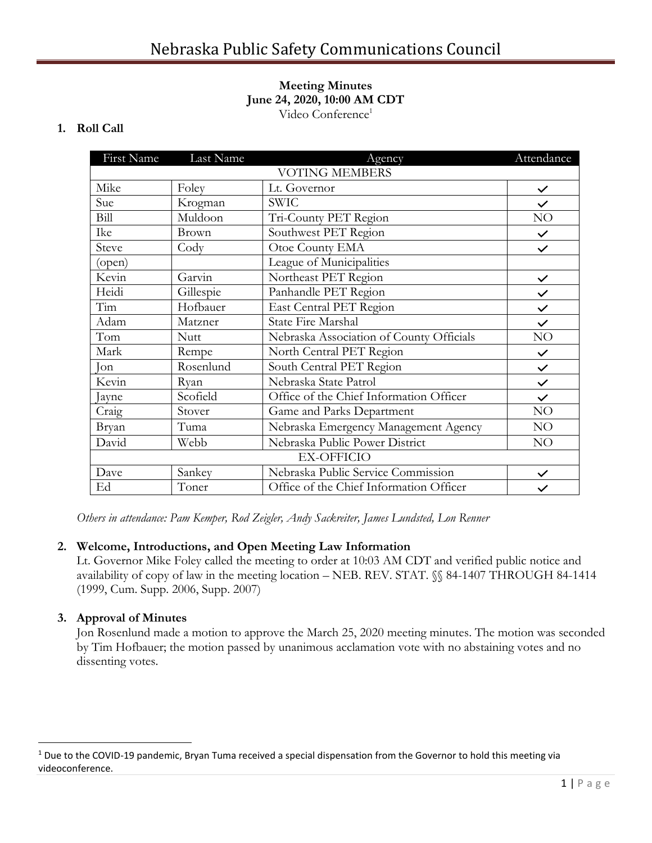#### **Meeting Minutes June 24, 2020, 10:00 AM CDT** Video Conference<sup>1</sup>

## **1. Roll Call**

| First Name            | Last Name   | Agency                                   | Attendance   |
|-----------------------|-------------|------------------------------------------|--------------|
| <b>VOTING MEMBERS</b> |             |                                          |              |
| Mike                  | Foley       | Lt. Governor                             | $\checkmark$ |
| Sue                   | Krogman     | <b>SWIC</b>                              | $\checkmark$ |
| Bill                  | Muldoon     | Tri-County PET Region                    | NO           |
| Ike                   | Brown       | Southwest PET Region                     | $\checkmark$ |
| Steve                 | Cody        | Otoe County EMA                          | $\checkmark$ |
| (open)                |             | League of Municipalities                 |              |
| Kevin                 | Garvin      | Northeast PET Region                     | $\checkmark$ |
| Heidi                 | Gillespie   | Panhandle PET Region                     | $\checkmark$ |
| Tim                   | Hofbauer    | East Central PET Region                  | $\checkmark$ |
| Adam                  | Matzner     | <b>State Fire Marshal</b>                | $\checkmark$ |
| Tom                   | <b>Nutt</b> | Nebraska Association of County Officials | NO           |
| Mark                  | Rempe       | North Central PET Region                 | $\checkmark$ |
| Jon                   | Rosenlund   | South Central PET Region                 | $\checkmark$ |
| Kevin                 | Ryan        | Nebraska State Patrol                    | $\checkmark$ |
| Jayne                 | Scofield    | Office of the Chief Information Officer  | $\checkmark$ |
| Craig                 | Stover      | Game and Parks Department                | NO           |
| Bryan                 | Tuma        | Nebraska Emergency Management Agency     | NO           |
| David                 | Webb        | Nebraska Public Power District           | NO           |
| <b>EX-OFFICIO</b>     |             |                                          |              |
| Dave                  | Sankey      | Nebraska Public Service Commission       | $\checkmark$ |
| Ed                    | Toner       | Office of the Chief Information Officer  | $\checkmark$ |

*Others in attendance: Pam Kemper, Rod Zeigler, Andy Sackreiter, James Lundsted, Lon Renner*

#### **2. Welcome, Introductions, and Open Meeting Law Information**

Lt. Governor Mike Foley called the meeting to order at 10:03 AM CDT and verified public notice and availability of copy of law in the meeting location – NEB. REV. STAT. §§ 84-1407 THROUGH 84-1414 (1999, Cum. Supp. 2006, Supp. 2007)

#### **3. Approval of Minutes**

Jon Rosenlund made a motion to approve the March 25, 2020 meeting minutes. The motion was seconded by Tim Hofbauer; the motion passed by unanimous acclamation vote with no abstaining votes and no dissenting votes.

<sup>&</sup>lt;sup>1</sup> Due to the COVID-19 pandemic, Bryan Tuma received a special dispensation from the Governor to hold this meeting via videoconference.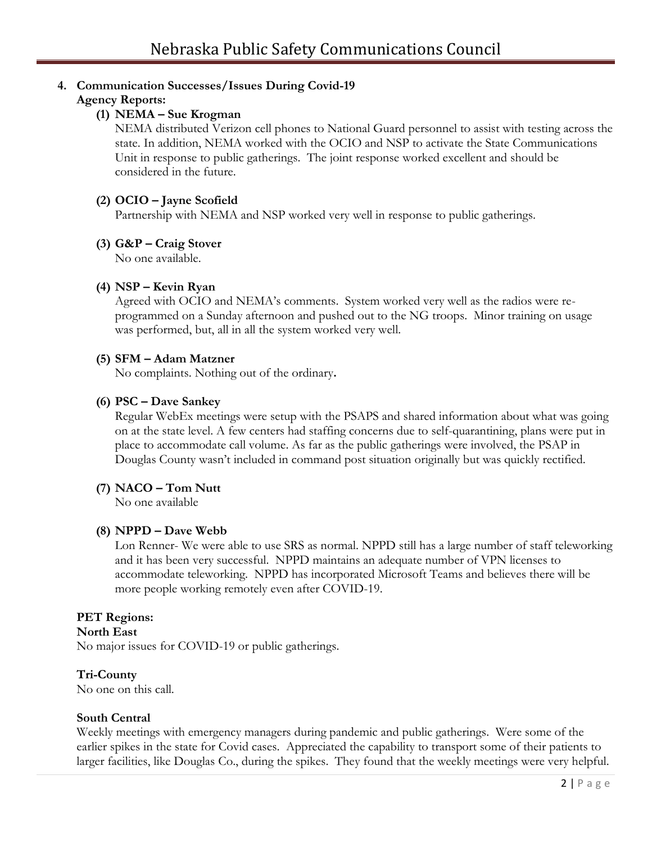## **4. Communication Successes/Issues During Covid-19**

## **Agency Reports:**

## **(1) NEMA – Sue Krogman**

NEMA distributed Verizon cell phones to National Guard personnel to assist with testing across the state. In addition, NEMA worked with the OCIO and NSP to activate the State Communications Unit in response to public gatherings. The joint response worked excellent and should be considered in the future.

### **(2) OCIO – Jayne Scofield**

Partnership with NEMA and NSP worked very well in response to public gatherings.

#### **(3) G&P – Craig Stover**

No one available.

#### **(4) NSP – Kevin Ryan**

Agreed with OCIO and NEMA's comments. System worked very well as the radios were reprogrammed on a Sunday afternoon and pushed out to the NG troops. Minor training on usage was performed, but, all in all the system worked very well.

#### **(5) SFM – Adam Matzner**

No complaints. Nothing out of the ordinary**.** 

#### **(6) PSC – Dave Sankey**

Regular WebEx meetings were setup with the PSAPS and shared information about what was going on at the state level. A few centers had staffing concerns due to self-quarantining, plans were put in place to accommodate call volume. As far as the public gatherings were involved, the PSAP in Douglas County wasn't included in command post situation originally but was quickly rectified.

#### **(7) NACO – Tom Nutt**

No one available

#### **(8) NPPD – Dave Webb**

Lon Renner- We were able to use SRS as normal. NPPD still has a large number of staff teleworking and it has been very successful. NPPD maintains an adequate number of VPN licenses to accommodate teleworking. NPPD has incorporated Microsoft Teams and believes there will be more people working remotely even after COVID-19.

#### **PET Regions:**

### **North East**

No major issues for COVID-19 or public gatherings.

#### **Tri-County**

No one on this call.

#### **South Central**

Weekly meetings with emergency managers during pandemic and public gatherings. Were some of the earlier spikes in the state for Covid cases. Appreciated the capability to transport some of their patients to larger facilities, like Douglas Co., during the spikes. They found that the weekly meetings were very helpful.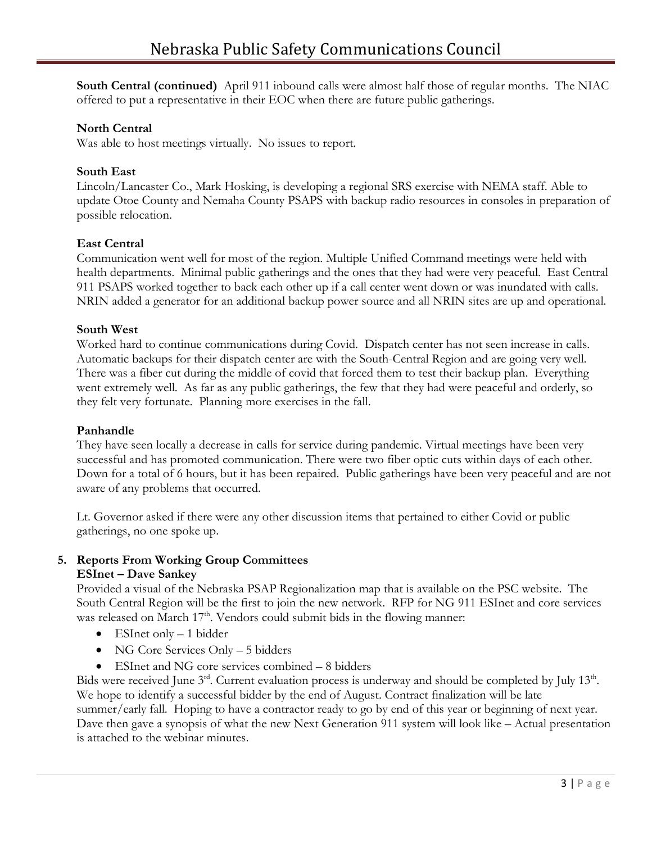**South Central (continued)** April 911 inbound calls were almost half those of regular months. The NIAC offered to put a representative in their EOC when there are future public gatherings.

#### **North Central**

Was able to host meetings virtually. No issues to report.

### **South East**

Lincoln/Lancaster Co., Mark Hosking, is developing a regional SRS exercise with NEMA staff. Able to update Otoe County and Nemaha County PSAPS with backup radio resources in consoles in preparation of possible relocation.

### **East Central**

Communication went well for most of the region. Multiple Unified Command meetings were held with health departments. Minimal public gatherings and the ones that they had were very peaceful. East Central 911 PSAPS worked together to back each other up if a call center went down or was inundated with calls. NRIN added a generator for an additional backup power source and all NRIN sites are up and operational.

#### **South West**

Worked hard to continue communications during Covid. Dispatch center has not seen increase in calls. Automatic backups for their dispatch center are with the South-Central Region and are going very well. There was a fiber cut during the middle of covid that forced them to test their backup plan. Everything went extremely well. As far as any public gatherings, the few that they had were peaceful and orderly, so they felt very fortunate. Planning more exercises in the fall.

#### **Panhandle**

They have seen locally a decrease in calls for service during pandemic. Virtual meetings have been very successful and has promoted communication. There were two fiber optic cuts within days of each other. Down for a total of 6 hours, but it has been repaired. Public gatherings have been very peaceful and are not aware of any problems that occurred.

Lt. Governor asked if there were any other discussion items that pertained to either Covid or public gatherings, no one spoke up.

#### **5. Reports From Working Group Committees ESInet – Dave Sankey**

Provided a visual of the Nebraska PSAP Regionalization map that is available on the PSC website. The South Central Region will be the first to join the new network. RFP for NG 911 ESInet and core services was released on March  $17<sup>th</sup>$ . Vendors could submit bids in the flowing manner:

- ESInet only 1 bidder
- NG Core Services Only 5 bidders
- ESInet and NG core services combined 8 bidders

Bids were received June  $3<sup>rd</sup>$ . Current evaluation process is underway and should be completed by July 13<sup>th</sup>. We hope to identify a successful bidder by the end of August. Contract finalization will be late summer/early fall. Hoping to have a contractor ready to go by end of this year or beginning of next year. Dave then gave a synopsis of what the new Next Generation 911 system will look like – Actual presentation is attached to the webinar minutes.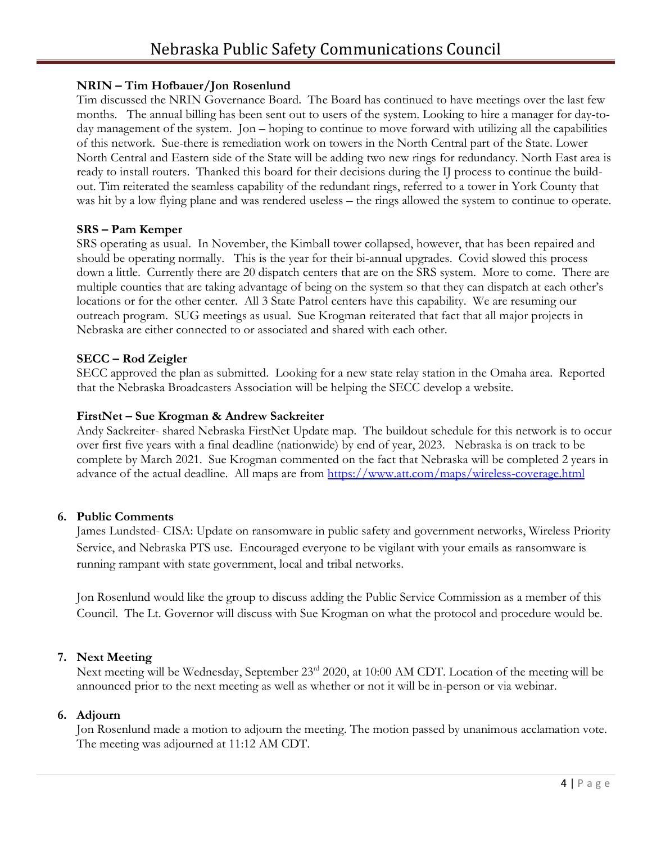# **NRIN – Tim Hofbauer/Jon Rosenlund**

Tim discussed the NRIN Governance Board. The Board has continued to have meetings over the last few months. The annual billing has been sent out to users of the system. Looking to hire a manager for day-today management of the system. Jon – hoping to continue to move forward with utilizing all the capabilities of this network. Sue-there is remediation work on towers in the North Central part of the State. Lower North Central and Eastern side of the State will be adding two new rings for redundancy. North East area is ready to install routers. Thanked this board for their decisions during the IJ process to continue the buildout. Tim reiterated the seamless capability of the redundant rings, referred to a tower in York County that was hit by a low flying plane and was rendered useless – the rings allowed the system to continue to operate.

# **SRS – Pam Kemper**

SRS operating as usual. In November, the Kimball tower collapsed, however, that has been repaired and should be operating normally. This is the year for their bi-annual upgrades. Covid slowed this process down a little. Currently there are 20 dispatch centers that are on the SRS system. More to come. There are multiple counties that are taking advantage of being on the system so that they can dispatch at each other's locations or for the other center. All 3 State Patrol centers have this capability. We are resuming our outreach program. SUG meetings as usual. Sue Krogman reiterated that fact that all major projects in Nebraska are either connected to or associated and shared with each other.

# **SECC – Rod Zeigler**

SECC approved the plan as submitted. Looking for a new state relay station in the Omaha area. Reported that the Nebraska Broadcasters Association will be helping the SECC develop a website.

### **FirstNet – Sue Krogman & Andrew Sackreiter**

Andy Sackreiter- shared Nebraska FirstNet Update map. The buildout schedule for this network is to occur over first five years with a final deadline (nationwide) by end of year, 2023. Nebraska is on track to be complete by March 2021. Sue Krogman commented on the fact that Nebraska will be completed 2 years in advance of the actual deadline. All maps are from<https://www.att.com/maps/wireless-coverage.html>

#### **6. Public Comments**

James Lundsted- CISA: Update on ransomware in public safety and government networks, Wireless Priority Service, and Nebraska PTS use. Encouraged everyone to be vigilant with your emails as ransomware is running rampant with state government, local and tribal networks.

Jon Rosenlund would like the group to discuss adding the Public Service Commission as a member of this Council. The Lt. Governor will discuss with Sue Krogman on what the protocol and procedure would be.

# **7. Next Meeting**

Next meeting will be Wednesday, September 23<sup>rd</sup> 2020, at 10:00 AM CDT. Location of the meeting will be announced prior to the next meeting as well as whether or not it will be in-person or via webinar.

#### **6. Adjourn**

Jon Rosenlund made a motion to adjourn the meeting. The motion passed by unanimous acclamation vote. The meeting was adjourned at 11:12 AM CDT.